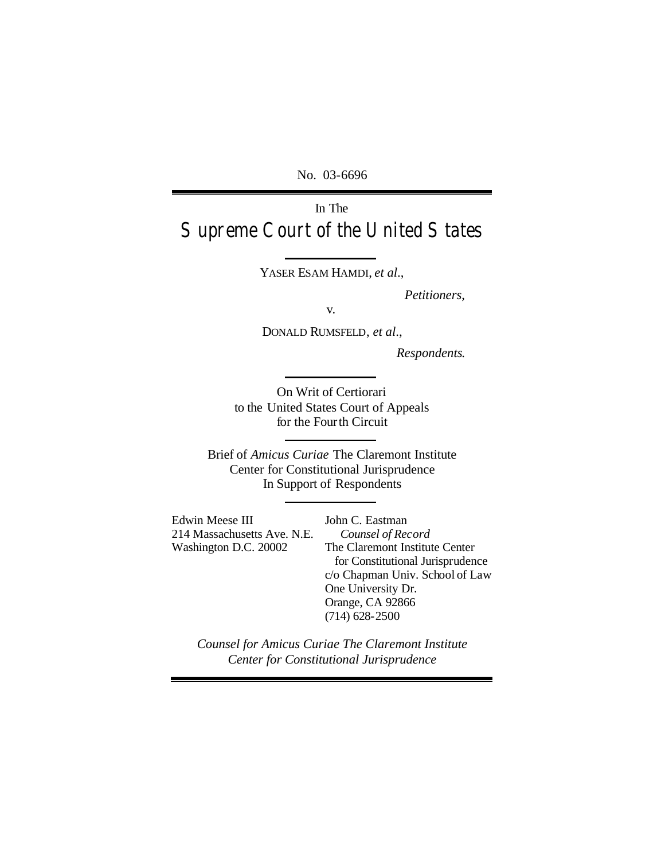No. 03-6696

# In The Supreme Court of the United States

YASER ESAM HAMDI, *et al*.,

*Petitioners*,

v.

DONALD RUMSFELD, *et al*.,

*Respondents*.

On Writ of Certiorari to the United States Court of Appeals for the Fourth Circuit

Brief of *Amicus Curiae* The Claremont Institute Center for Constitutional Jurisprudence In Support of Respondents

Edwin Meese III 214 Massachusetts Ave. N.E. Washington D.C. 20002

John C. Eastman *Counsel of Record* The Claremont Institute Center for Constitutional Jurisprudence c/o Chapman Univ. School of Law One University Dr. Orange, CA 92866 (714) 628-2500

*Counsel for Amicus Curiae The Claremont Institute Center for Constitutional Jurisprudence*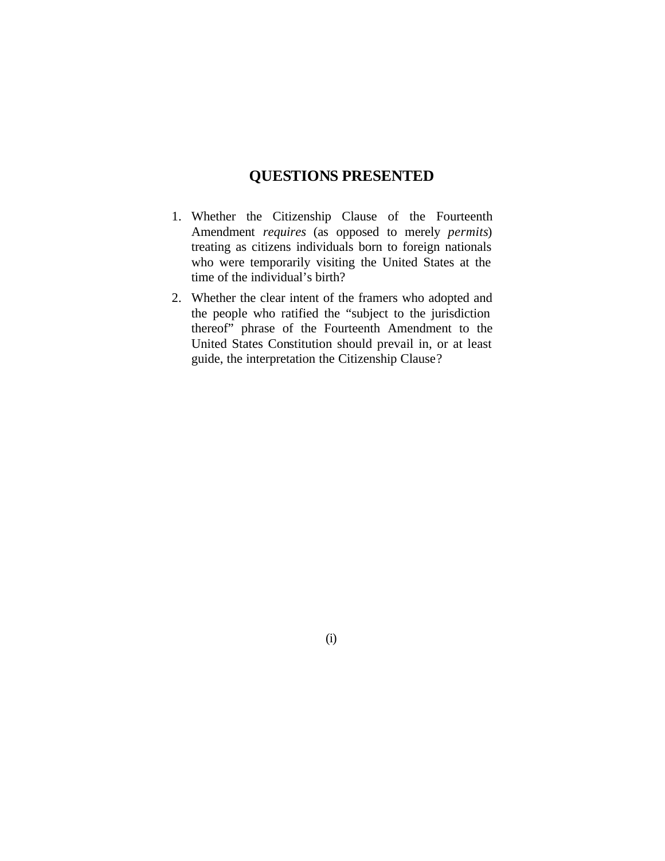## **QUESTIONS PRESENTED**

- 1. Whether the Citizenship Clause of the Fourteenth Amendment *requires* (as opposed to merely *permits*) treating as citizens individuals born to foreign nationals who were temporarily visiting the United States at the time of the individual's birth?
- 2. Whether the clear intent of the framers who adopted and the people who ratified the "subject to the jurisdiction thereof" phrase of the Fourteenth Amendment to the United States Constitution should prevail in, or at least guide, the interpretation the Citizenship Clause?

(i)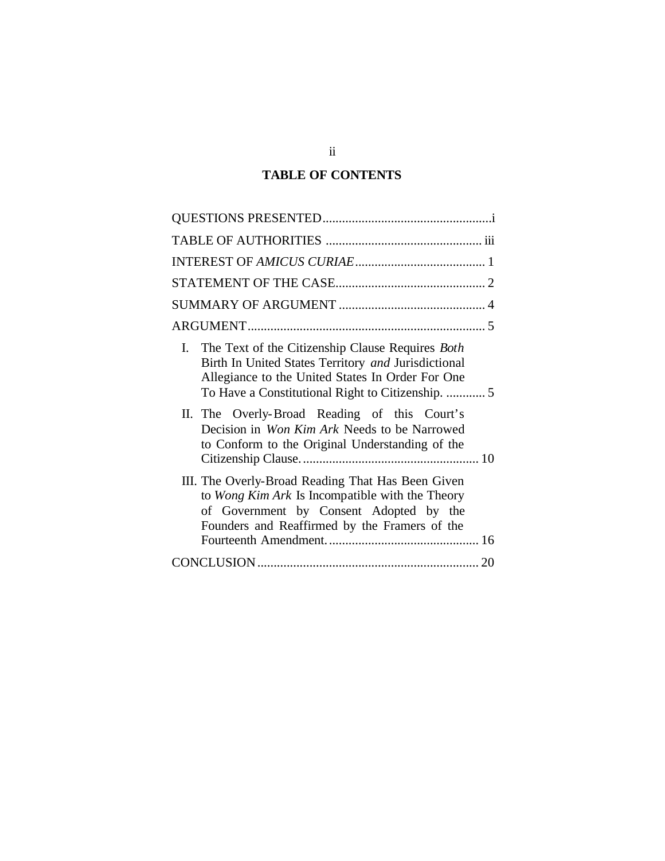## **TABLE OF CONTENTS**

| I. The Text of the Citizenship Clause Requires <i>Both</i><br>Birth In United States Territory and Jurisdictional<br>Allegiance to the United States In Order For One<br>To Have a Constitutional Right to Citizenship.  5 |
|----------------------------------------------------------------------------------------------------------------------------------------------------------------------------------------------------------------------------|
| II. The Overly-Broad Reading of this Court's<br>Decision in Won Kim Ark Needs to be Narrowed<br>to Conform to the Original Understanding of the                                                                            |
| III. The Overly-Broad Reading That Has Been Given<br>to Wong Kim Ark Is Incompatible with the Theory<br>of Government by Consent Adopted by the<br>Founders and Reaffirmed by the Framers of the                           |
|                                                                                                                                                                                                                            |

ii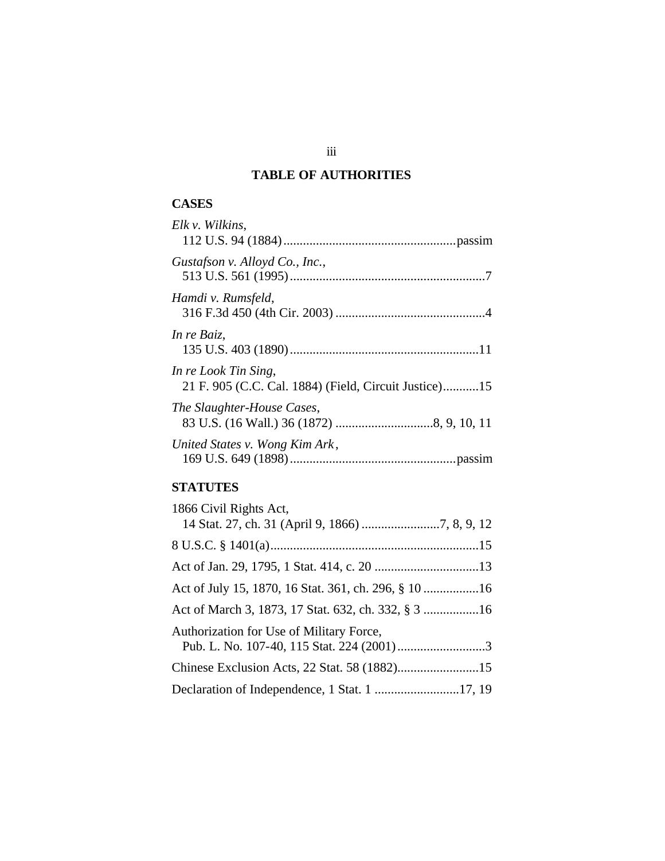## **TABLE OF AUTHORITIES**

## **CASES**

| Elk v. Wilkins,                                                               |
|-------------------------------------------------------------------------------|
| Gustafson v. Alloyd Co., Inc.,                                                |
| Hamdi v. Rumsfeld,                                                            |
| In re Baiz,                                                                   |
| In re Look Tin Sing,<br>21 F. 905 (C.C. Cal. 1884) (Field, Circuit Justice)15 |
| The Slaughter-House Cases,                                                    |
| United States v. Wong Kim Ark,                                                |

## **STATUTES**

| 1866 Civil Rights Act,                              |  |
|-----------------------------------------------------|--|
|                                                     |  |
|                                                     |  |
|                                                     |  |
|                                                     |  |
| Act of March 3, 1873, 17 Stat. 632, ch. 332, § 3 16 |  |
| Authorization for Use of Military Force,            |  |
|                                                     |  |
| Declaration of Independence, 1 Stat. 1 17, 19       |  |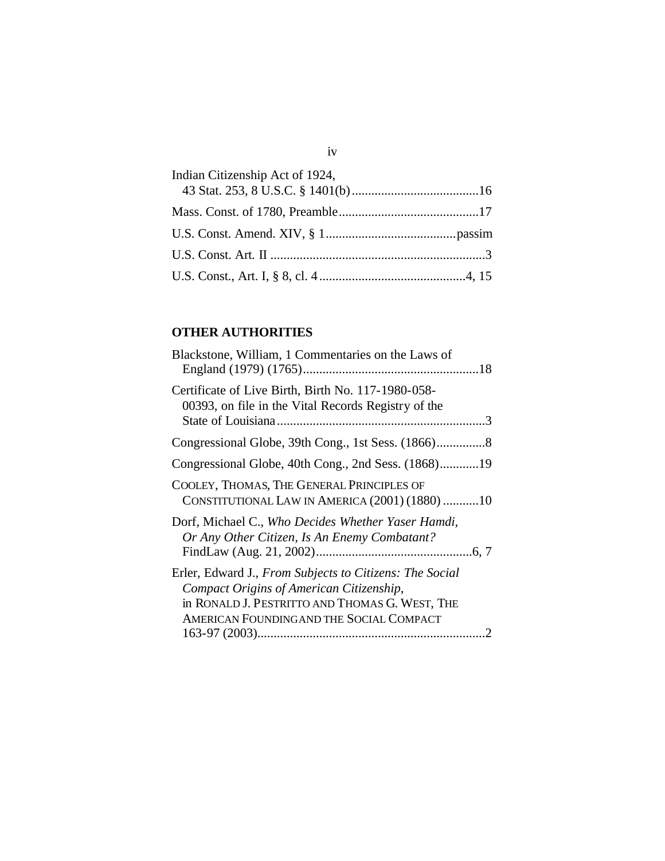| Indian Citizenship Act of 1924, |  |
|---------------------------------|--|
|                                 |  |
|                                 |  |
|                                 |  |
|                                 |  |

## **OTHER AUTHORITIES**

iv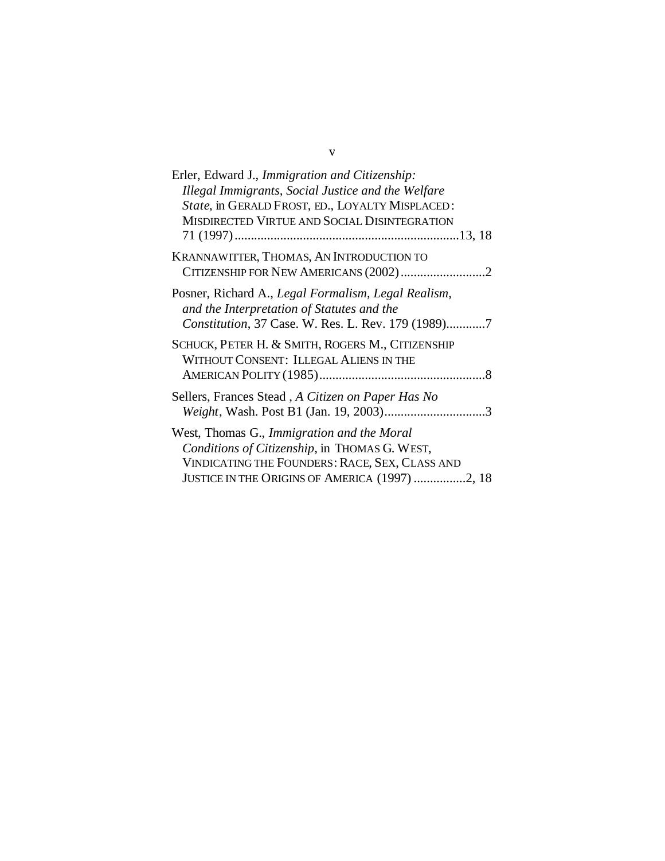| Erler, Edward J., Immigration and Citizenship:                                                                                                          |
|---------------------------------------------------------------------------------------------------------------------------------------------------------|
| Illegal Immigrants, Social Justice and the Welfare                                                                                                      |
| State, in GERALD FROST, ED., LOYALTY MISPLACED:                                                                                                         |
| MISDIRECTED VIRTUE AND SOCIAL DISINTEGRATION                                                                                                            |
|                                                                                                                                                         |
| KRANNAWITTER, THOMAS, AN INTRODUCTION TO                                                                                                                |
|                                                                                                                                                         |
| Posner, Richard A., Legal Formalism, Legal Realism,<br>and the Interpretation of Statutes and the<br>Constitution, 37 Case. W. Res. L. Rev. 179 (1989)7 |
| SCHUCK, PETER H. & SMITH, ROGERS M., CITIZENSHIP<br>WITHOUT CONSENT: ILLEGAL ALIENS IN THE                                                              |
| Sellers, Frances Stead, A Citizen on Paper Has No                                                                                                       |
| West, Thomas G., Immigration and the Moral                                                                                                              |
| Conditions of Citizenship, in THOMAS G. WEST,                                                                                                           |
| VINDICATING THE FOUNDERS: RACE, SEX, CLASS AND                                                                                                          |
| JUSTICE IN THE ORIGINS OF AMERICA (1997) 2, 18                                                                                                          |

## v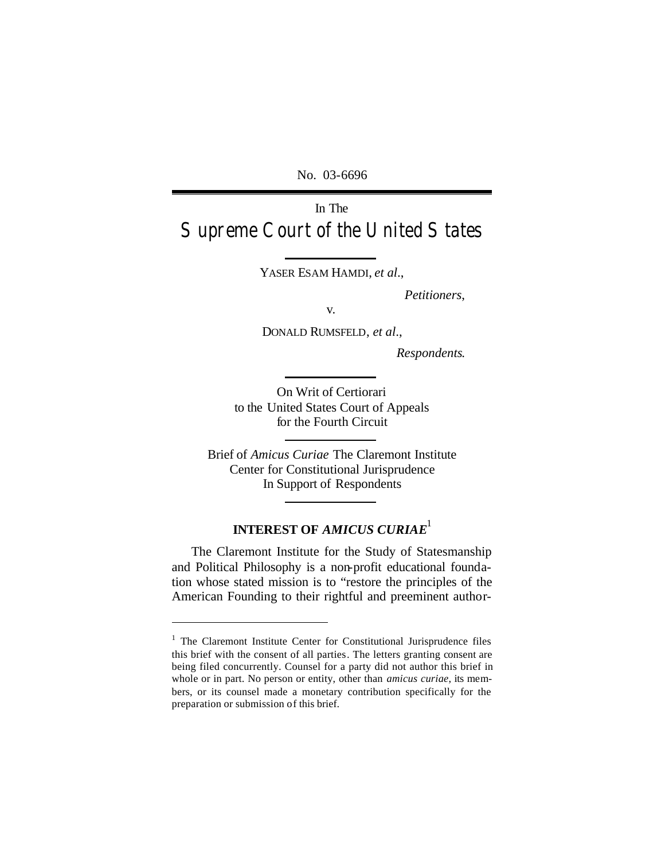No. 03-6696

# In The Supreme Court of the United States

YASER ESAM HAMDI, *et al*.,

*Petitioners*,

v.

DONALD RUMSFELD, *et al*.,

*Respondents*.

On Writ of Certiorari to the United States Court of Appeals for the Fourth Circuit

Brief of *Amicus Curiae* The Claremont Institute Center for Constitutional Jurisprudence In Support of Respondents

# **INTEREST OF** *AMICUS CURIAE*<sup>1</sup>

The Claremont Institute for the Study of Statesmanship and Political Philosophy is a non-profit educational foundation whose stated mission is to "restore the principles of the American Founding to their rightful and preeminent author-

 $\overline{a}$ 

<sup>&</sup>lt;sup>1</sup> The Claremont Institute Center for Constitutional Jurisprudence files this brief with the consent of all parties. The letters granting consent are being filed concurrently. Counsel for a party did not author this brief in whole or in part. No person or entity, other than *amicus curiae*, its members, or its counsel made a monetary contribution specifically for the preparation or submission of this brief.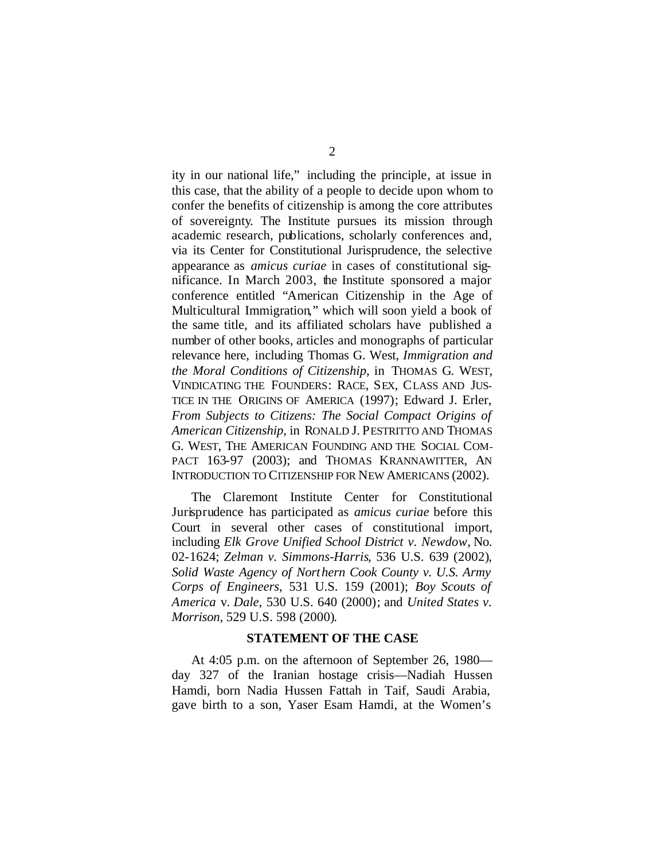ity in our national life," including the principle, at issue in this case, that the ability of a people to decide upon whom to confer the benefits of citizenship is among the core attributes of sovereignty. The Institute pursues its mission through academic research, publications, scholarly conferences and, via its Center for Constitutional Jurisprudence, the selective appearance as *amicus curiae* in cases of constitutional significance. In March 2003, the Institute sponsored a major conference entitled "American Citizenship in the Age of Multicultural Immigration," which will soon yield a book of the same title, and its affiliated scholars have published a number of other books, articles and monographs of particular relevance here, including Thomas G. West, *Immigration and the Moral Conditions of Citizenship*, in THOMAS G. WEST, VINDICATING THE FOUNDERS: RACE, SEX, CLASS AND JUS-TICE IN THE ORIGINS OF AMERICA (1997); Edward J. Erler, *From Subjects to Citizens: The Social Compact Origins of American Citizenship*, in RONALD J. PESTRITTO AND THOMAS G. WEST, THE AMERICAN FOUNDING AND THE SOCIAL COM-PACT 163-97 (2003); and THOMAS KRANNAWITTER, AN INTRODUCTION TO CITIZENSHIP FOR NEW AMERICANS (2002).

The Claremont Institute Center for Constitutional Jurisprudence has participated as *amicus curiae* before this Court in several other cases of constitutional import, including *Elk Grove Unified School District v. Newdow*, No. 02-1624; *Zelman v. Simmons-Harris*, 536 U.S. 639 (2002), *Solid Waste Agency of Northern Cook County v. U.S. Army Corps of Engineers*, 531 U.S. 159 (2001); *Boy Scouts of America* v. *Dale*, 530 U.S. 640 (2000); and *United States v. Morrison*, 529 U.S. 598 (2000).

### **STATEMENT OF THE CASE**

At 4:05 p.m. on the afternoon of September 26, 1980 day 327 of the Iranian hostage crisis—Nadiah Hussen Hamdi, born Nadia Hussen Fattah in Taif, Saudi Arabia, gave birth to a son, Yaser Esam Hamdi, at the Women's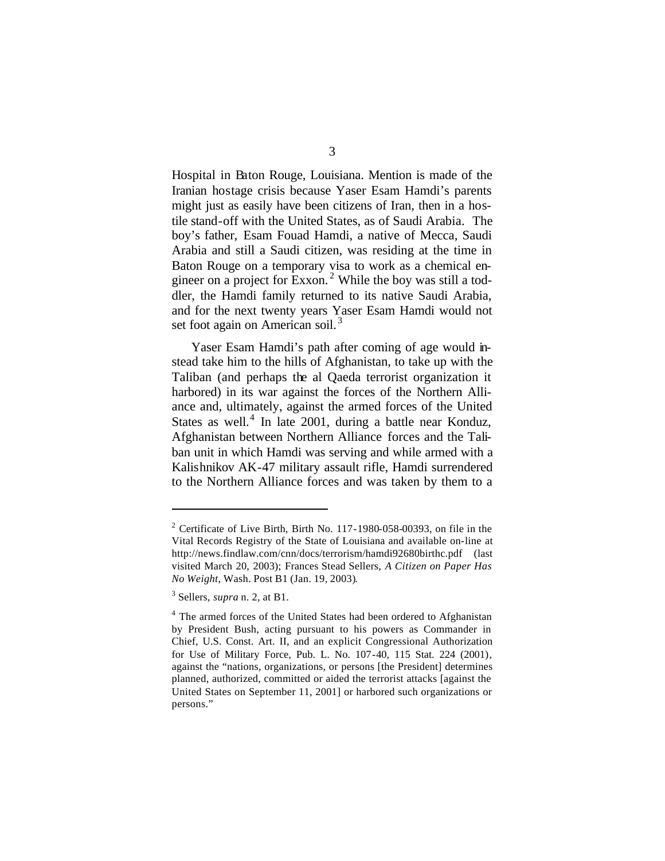Hospital in Baton Rouge, Louisiana. Mention is made of the Iranian hostage crisis because Yaser Esam Hamdi's parents might just as easily have been citizens of Iran, then in a hostile stand-off with the United States, as of Saudi Arabia. The boy's father, Esam Fouad Hamdi, a native of Mecca, Saudi Arabia and still a Saudi citizen, was residing at the time in Baton Rouge on a temporary visa to work as a chemical engineer on a project for Exxon.<sup>2</sup> While the boy was still a toddler, the Hamdi family returned to its native Saudi Arabia, and for the next twenty years Yaser Esam Hamdi would not set foot again on American soil.<sup>3</sup>

Yaser Esam Hamdi's path after coming of age would instead take him to the hills of Afghanistan, to take up with the Taliban (and perhaps the al Qaeda terrorist organization it harbored) in its war against the forces of the Northern Alliance and, ultimately, against the armed forces of the United States as well. $4$  In late 2001, during a battle near Konduz, Afghanistan between Northern Alliance forces and the Taliban unit in which Hamdi was serving and while armed with a Kalishnikov AK-47 military assault rifle, Hamdi surrendered to the Northern Alliance forces and was taken by them to a

 $\overline{a}$ 

 $2$  Certificate of Live Birth, Birth No. 117-1980-058-00393, on file in the Vital Records Registry of the State of Louisiana and available on-line at http://news.findlaw.com/cnn/docs/terrorism/hamdi92680birthc.pdf (last visited March 20, 2003); Frances Stead Sellers, *A Citizen on Paper Has No Weight*, Wash. Post B1 (Jan. 19, 2003).

<sup>3</sup> Sellers, *supra* n. 2, at B1.

<sup>&</sup>lt;sup>4</sup> The armed forces of the United States had been ordered to Afghanistan by President Bush, acting pursuant to his powers as Commander in Chief, U.S. Const. Art. II, and an explicit Congressional Authorization for Use of Military Force, Pub. L. No. 107-40, 115 Stat. 224 (2001), against the "nations, organizations, or persons [the President] determines planned, authorized, committed or aided the terrorist attacks [against the United States on September 11, 2001] or harbored such organizations or persons."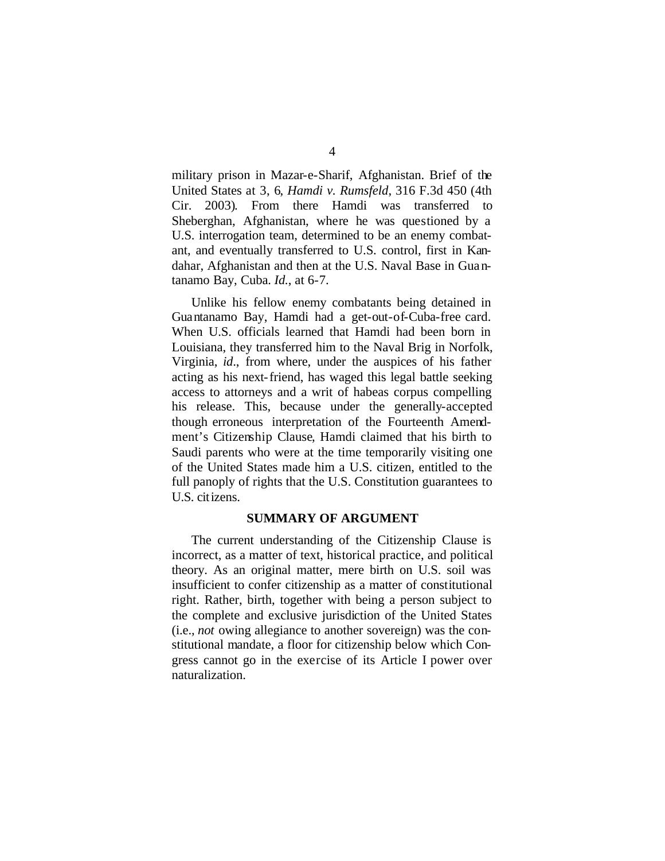military prison in Mazar-e-Sharif, Afghanistan. Brief of the United States at 3, 6, *Hamdi v. Rumsfeld*, 316 F.3d 450 (4th Cir. 2003). From there Hamdi was transferred to Sheberghan, Afghanistan, where he was questioned by a U.S. interrogation team, determined to be an enemy combatant, and eventually transferred to U.S. control, first in Kandahar, Afghanistan and then at the U.S. Naval Base in Guantanamo Bay, Cuba. *Id.*, at 6-7.

Unlike his fellow enemy combatants being detained in Guantanamo Bay, Hamdi had a get-out-of-Cuba-free card. When U.S. officials learned that Hamdi had been born in Louisiana, they transferred him to the Naval Brig in Norfolk, Virginia, *id*., from where, under the auspices of his father acting as his next-friend, has waged this legal battle seeking access to attorneys and a writ of habeas corpus compelling his release. This, because under the generally-accepted though erroneous interpretation of the Fourteenth Amendment's Citizenship Clause, Hamdi claimed that his birth to Saudi parents who were at the time temporarily visiting one of the United States made him a U.S. citizen, entitled to the full panoply of rights that the U.S. Constitution guarantees to U.S. citizens.

### **SUMMARY OF ARGUMENT**

The current understanding of the Citizenship Clause is incorrect, as a matter of text, historical practice, and political theory. As an original matter, mere birth on U.S. soil was insufficient to confer citizenship as a matter of constitutional right. Rather, birth, together with being a person subject to the complete and exclusive jurisdiction of the United States (i.e., *not* owing allegiance to another sovereign) was the constitutional mandate, a floor for citizenship below which Congress cannot go in the exercise of its Article I power over naturalization.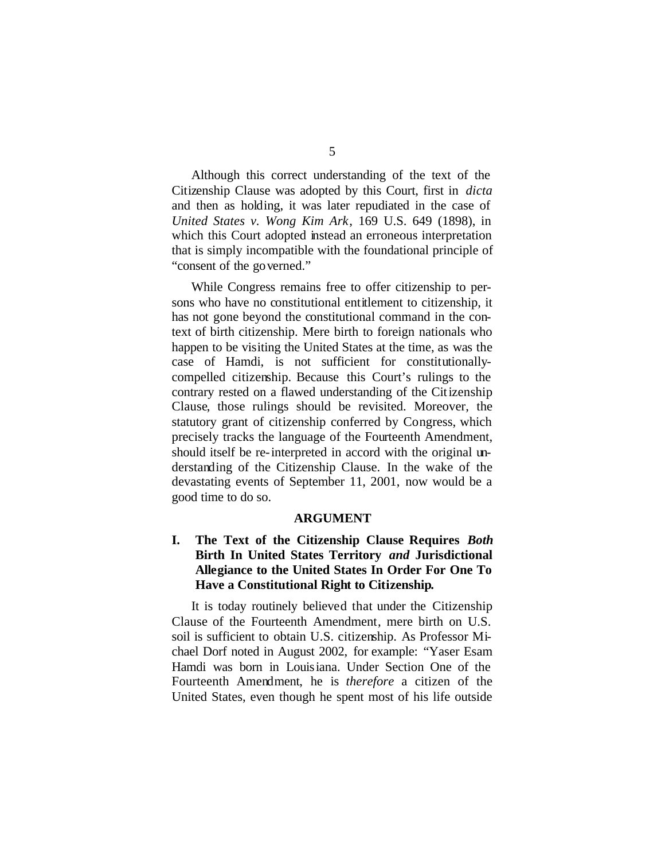Although this correct understanding of the text of the Citizenship Clause was adopted by this Court, first in *dicta*  and then as holding, it was later repudiated in the case of *United States v. Wong Kim Ark*, 169 U.S. 649 (1898), in which this Court adopted instead an erroneous interpretation that is simply incompatible with the foundational principle of "consent of the governed."

While Congress remains free to offer citizenship to persons who have no constitutional entitlement to citizenship, it has not gone beyond the constitutional command in the context of birth citizenship. Mere birth to foreign nationals who happen to be visiting the United States at the time, as was the case of Hamdi, is not sufficient for constitutionallycompelled citizenship. Because this Court's rulings to the contrary rested on a flawed understanding of the Citizenship Clause, those rulings should be revisited. Moreover, the statutory grant of citizenship conferred by Congress, which precisely tracks the language of the Fourteenth Amendment, should itself be re-interpreted in accord with the original understanding of the Citizenship Clause. In the wake of the devastating events of September 11, 2001, now would be a good time to do so.

#### **ARGUMENT**

### **I. The Text of the Citizenship Clause Requires** *Both* **Birth In United States Territory** *and* **Jurisdictional Allegiance to the United States In Order For One To Have a Constitutional Right to Citizenship.**

It is today routinely believed that under the Citizenship Clause of the Fourteenth Amendment, mere birth on U.S. soil is sufficient to obtain U.S. citizenship. As Professor Michael Dorf noted in August 2002, for example: "Yaser Esam Hamdi was born in Louisiana. Under Section One of the Fourteenth Amendment, he is *therefore* a citizen of the United States, even though he spent most of his life outside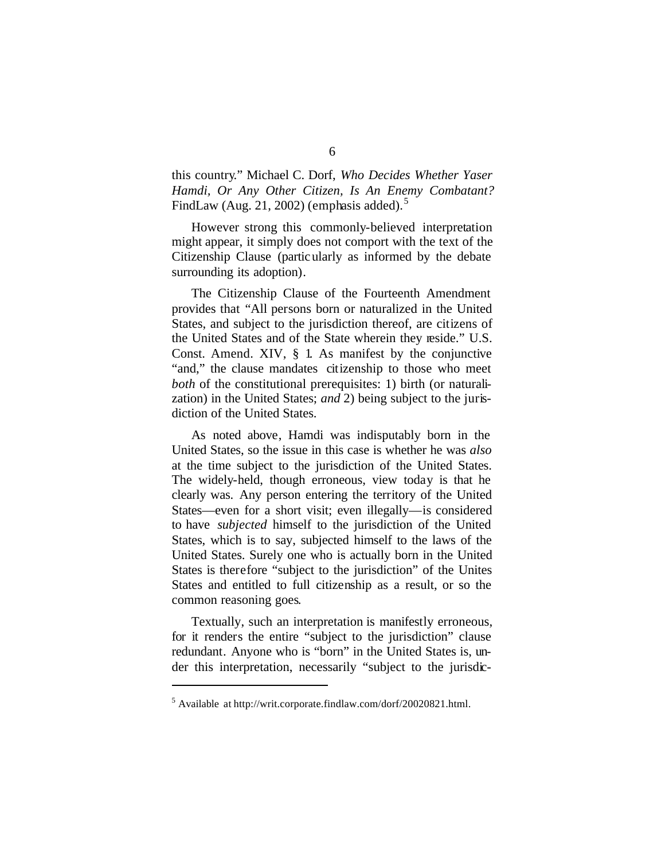this country." Michael C. Dorf, *Who Decides Whether Yaser Hamdi, Or Any Other Citizen, Is An Enemy Combatant?* FindLaw (Aug. 21, 2002) (emphasis added).<sup>5</sup>

However strong this commonly-believed interpretation might appear, it simply does not comport with the text of the Citizenship Clause (particularly as informed by the debate surrounding its adoption).

The Citizenship Clause of the Fourteenth Amendment provides that "All persons born or naturalized in the United States, and subject to the jurisdiction thereof, are citizens of the United States and of the State wherein they reside." U.S. Const. Amend. XIV, § 1. As manifest by the conjunctive "and," the clause mandates citizenship to those who meet *both* of the constitutional prerequisites: 1) birth (or naturalization) in the United States; *and* 2) being subject to the jurisdiction of the United States.

As noted above, Hamdi was indisputably born in the United States, so the issue in this case is whether he was *also* at the time subject to the jurisdiction of the United States. The widely-held, though erroneous, view today is that he clearly was. Any person entering the territory of the United States—even for a short visit; even illegally—is considered to have *subjected* himself to the jurisdiction of the United States, which is to say, subjected himself to the laws of the United States. Surely one who is actually born in the United States is therefore "subject to the jurisdiction" of the Unites States and entitled to full citizenship as a result, or so the common reasoning goes.

Textually, such an interpretation is manifestly erroneous, for it renders the entire "subject to the jurisdiction" clause redundant. Anyone who is "born" in the United States is, under this interpretation, necessarily "subject to the jurisdic-

 $\overline{a}$ 

<sup>5</sup> Available at http://writ.corporate.findlaw.com/dorf/20020821.html.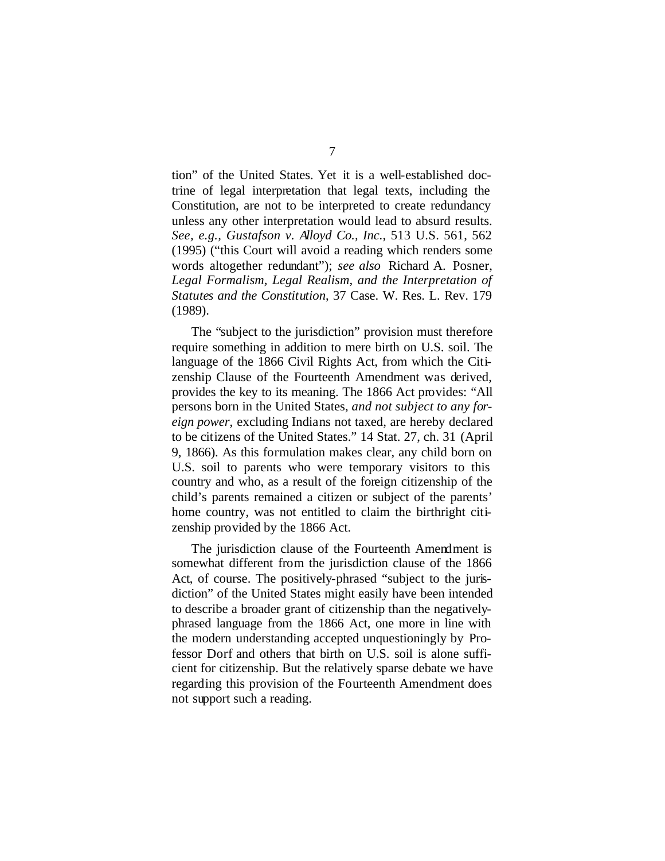tion" of the United States. Yet it is a well-established doctrine of legal interpretation that legal texts, including the Constitution, are not to be interpreted to create redundancy unless any other interpretation would lead to absurd results. *See, e.g., Gustafson v. Alloyd Co., Inc.*, 513 U.S. 561, 562 (1995) ("this Court will avoid a reading which renders some words altogether redundant"); *see also* Richard A. Posner, *Legal Formalism, Legal Realism, and the Interpretation of Statutes and the Constitution*, 37 Case. W. Res. L. Rev. 179 (1989).

The "subject to the jurisdiction" provision must therefore require something in addition to mere birth on U.S. soil. The language of the 1866 Civil Rights Act, from which the Citizenship Clause of the Fourteenth Amendment was derived, provides the key to its meaning. The 1866 Act provides: "All persons born in the United States, *and not subject to any foreign power*, excluding Indians not taxed, are hereby declared to be citizens of the United States." 14 Stat. 27, ch. 31 (April 9, 1866). As this formulation makes clear, any child born on U.S. soil to parents who were temporary visitors to this country and who, as a result of the foreign citizenship of the child's parents remained a citizen or subject of the parents' home country, was not entitled to claim the birthright citizenship provided by the 1866 Act.

The jurisdiction clause of the Fourteenth Amendment is somewhat different from the jurisdiction clause of the 1866 Act, of course. The positively-phrased "subject to the jurisdiction" of the United States might easily have been intended to describe a broader grant of citizenship than the negativelyphrased language from the 1866 Act, one more in line with the modern understanding accepted unquestioningly by Professor Dorf and others that birth on U.S. soil is alone sufficient for citizenship. But the relatively sparse debate we have regarding this provision of the Fourteenth Amendment does not support such a reading.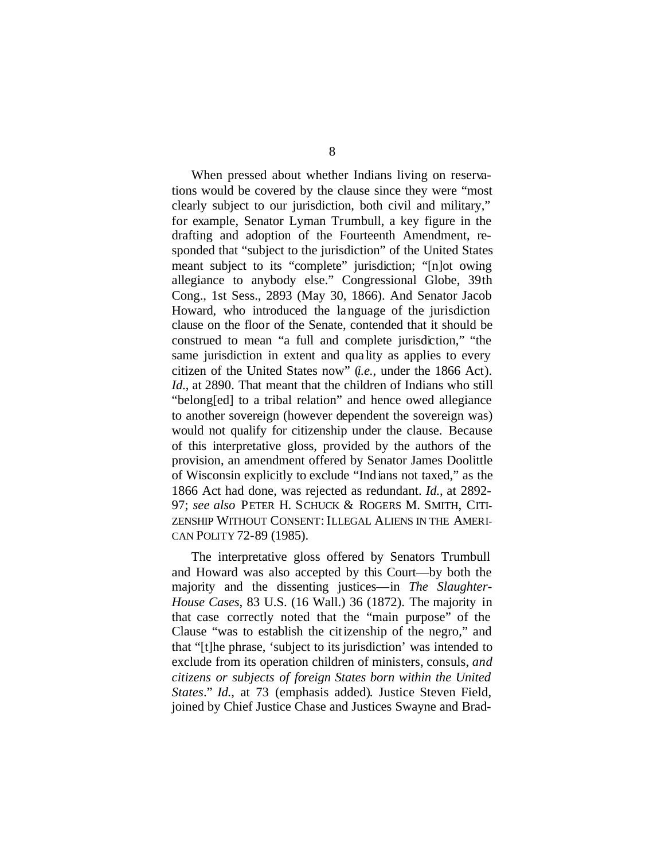When pressed about whether Indians living on reservations would be covered by the clause since they were "most clearly subject to our jurisdiction, both civil and military," for example, Senator Lyman Trumbull, a key figure in the drafting and adoption of the Fourteenth Amendment, responded that "subject to the jurisdiction" of the United States meant subject to its "complete" jurisdiction; "[n]ot owing allegiance to anybody else." Congressional Globe, 39th Cong., 1st Sess., 2893 (May 30, 1866). And Senator Jacob Howard, who introduced the language of the jurisdiction clause on the floor of the Senate, contended that it should be construed to mean "a full and complete jurisdiction," "the same jurisdiction in extent and qua lity as applies to every citizen of the United States now" (*i.e.*, under the 1866 Act). *Id.*, at 2890. That meant that the children of Indians who still "belong[ed] to a tribal relation" and hence owed allegiance to another sovereign (however dependent the sovereign was) would not qualify for citizenship under the clause. Because of this interpretative gloss, provided by the authors of the provision, an amendment offered by Senator James Doolittle of Wisconsin explicitly to exclude "Indians not taxed," as the 1866 Act had done, was rejected as redundant. *Id.*, at 2892- 97; *see also* PETER H. SCHUCK & ROGERS M. SMITH, CITI-ZENSHIP WITHOUT CONSENT: ILLEGAL ALIENS IN THE AMERI-CAN POLITY 72-89 (1985).

The interpretative gloss offered by Senators Trumbull and Howard was also accepted by this Court—by both the majority and the dissenting justices—in *The Slaughter-House Cases*, 83 U.S. (16 Wall.) 36 (1872). The majority in that case correctly noted that the "main purpose" of the Clause "was to establish the citizenship of the negro," and that "[t]he phrase, 'subject to its jurisdiction' was intended to exclude from its operation children of ministers, consuls, *and citizens or subjects of foreign States born within the United States*." *Id.*, at 73 (emphasis added). Justice Steven Field, joined by Chief Justice Chase and Justices Swayne and Brad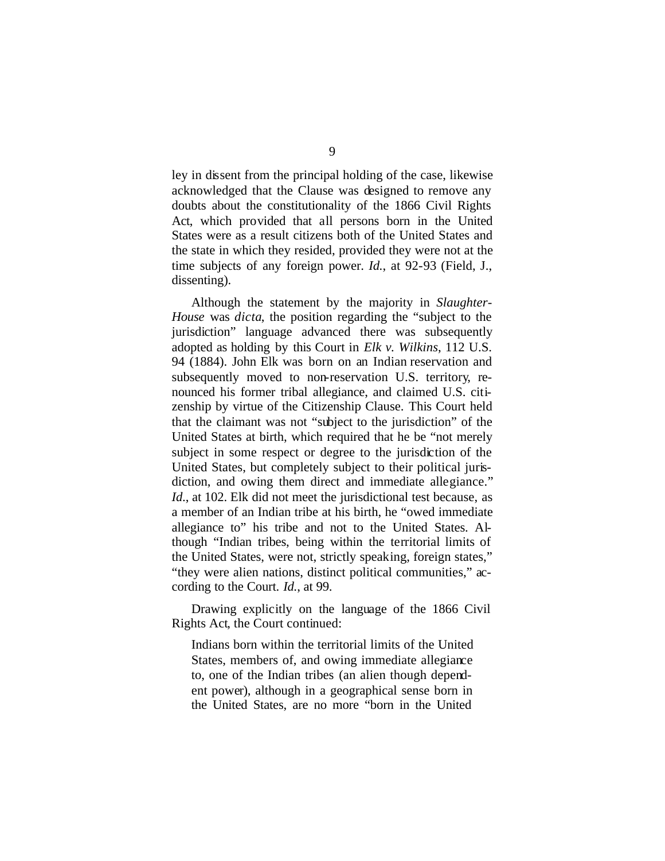ley in dissent from the principal holding of the case, likewise acknowledged that the Clause was designed to remove any doubts about the constitutionality of the 1866 Civil Rights Act, which provided that all persons born in the United States were as a result citizens both of the United States and the state in which they resided, provided they were not at the time subjects of any foreign power. *Id.*, at 92-93 (Field, J., dissenting).

Although the statement by the majority in *Slaughter-House* was *dicta*, the position regarding the "subject to the jurisdiction" language advanced there was subsequently adopted as holding by this Court in *Elk v. Wilkins*, 112 U.S. 94 (1884). John Elk was born on an Indian reservation and subsequently moved to non-reservation U.S. territory, renounced his former tribal allegiance, and claimed U.S. citizenship by virtue of the Citizenship Clause. This Court held that the claimant was not "subject to the jurisdiction" of the United States at birth, which required that he be "not merely subject in some respect or degree to the jurisdiction of the United States, but completely subject to their political jurisdiction, and owing them direct and immediate allegiance." *Id.*, at 102. Elk did not meet the jurisdictional test because, as a member of an Indian tribe at his birth, he "owed immediate allegiance to" his tribe and not to the United States. Although "Indian tribes, being within the territorial limits of the United States, were not, strictly speaking, foreign states," "they were alien nations, distinct political communities," according to the Court. *Id.*, at 99.

Drawing explicitly on the language of the 1866 Civil Rights Act, the Court continued:

Indians born within the territorial limits of the United States, members of, and owing immediate allegiance to, one of the Indian tribes (an alien though dependent power), although in a geographical sense born in the United States, are no more "born in the United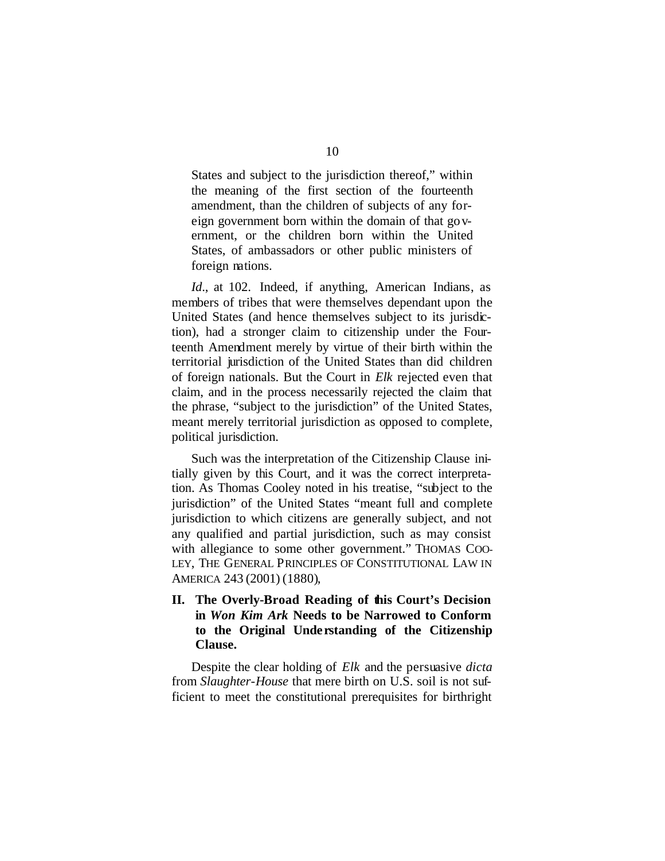States and subject to the jurisdiction thereof," within the meaning of the first section of the fourteenth amendment, than the children of subjects of any foreign government born within the domain of that government, or the children born within the United States, of ambassadors or other public ministers of foreign nations.

*Id*., at 102. Indeed, if anything, American Indians, as members of tribes that were themselves dependant upon the United States (and hence themselves subject to its jurisdiction), had a stronger claim to citizenship under the Fourteenth Amendment merely by virtue of their birth within the territorial jurisdiction of the United States than did children of foreign nationals. But the Court in *Elk* rejected even that claim, and in the process necessarily rejected the claim that the phrase, "subject to the jurisdiction" of the United States, meant merely territorial jurisdiction as opposed to complete, political jurisdiction.

Such was the interpretation of the Citizenship Clause initially given by this Court, and it was the correct interpretation. As Thomas Cooley noted in his treatise, "subject to the jurisdiction" of the United States "meant full and complete jurisdiction to which citizens are generally subject, and not any qualified and partial jurisdiction, such as may consist with allegiance to some other government." THOMAS COO-LEY, THE GENERAL PRINCIPLES OF CONSTITUTIONAL LAW IN AMERICA 243 (2001) (1880),

## **II. The Overly-Broad Reading of this Court's Decision in** *Won Kim Ark* **Needs to be Narrowed to Conform to the Original Unde rstanding of the Citizenship Clause.**

Despite the clear holding of *Elk* and the persuasive *dicta* from *Slaughter-House* that mere birth on U.S. soil is not sufficient to meet the constitutional prerequisites for birthright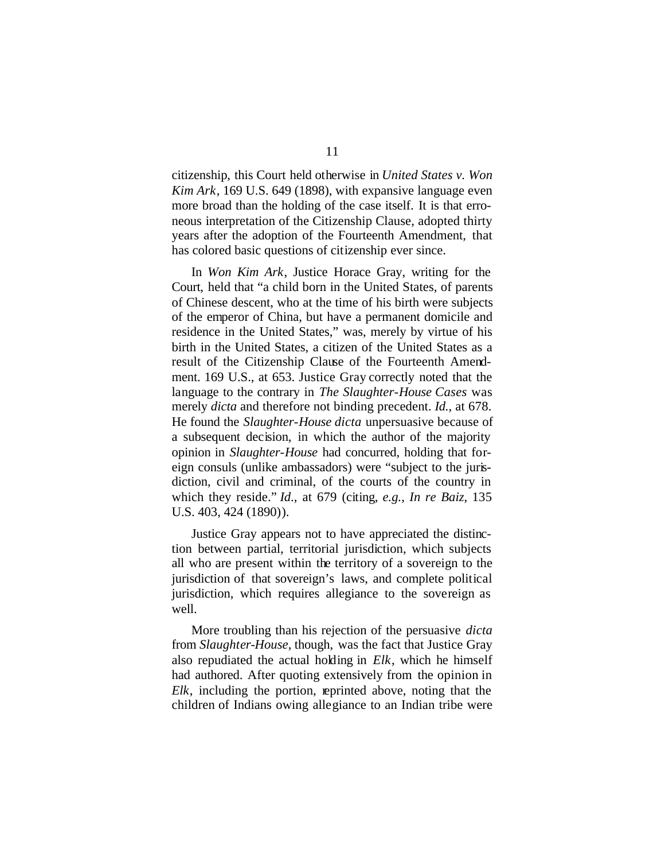citizenship, this Court held otherwise in *United States v. Won Kim Ark*, 169 U.S. 649 (1898), with expansive language even more broad than the holding of the case itself. It is that erroneous interpretation of the Citizenship Clause, adopted thirty years after the adoption of the Fourteenth Amendment, that has colored basic questions of citizenship ever since.

In *Won Kim Ark*, Justice Horace Gray, writing for the Court, held that "a child born in the United States, of parents of Chinese descent, who at the time of his birth were subjects of the emperor of China, but have a permanent domicile and residence in the United States," was, merely by virtue of his birth in the United States, a citizen of the United States as a result of the Citizenship Clause of the Fourteenth Amendment. 169 U.S., at 653. Justice Gray correctly noted that the language to the contrary in *The Slaughter-House Cases* was merely *dicta* and therefore not binding precedent. *Id.*, at 678. He found the *Slaughter-House dicta* unpersuasive because of a subsequent decision, in which the author of the majority opinion in *Slaughter-House* had concurred, holding that foreign consuls (unlike ambassadors) were "subject to the jurisdiction, civil and criminal, of the courts of the country in which they reside." *Id*., at 679 (citing, *e.g.*, *In re Baiz*, 135 U.S. 403, 424 (1890)).

Justice Gray appears not to have appreciated the distinction between partial, territorial jurisdiction, which subjects all who are present within the territory of a sovereign to the jurisdiction of that sovereign's laws, and complete political jurisdiction, which requires allegiance to the sovereign as well.

More troubling than his rejection of the persuasive *dicta*  from *Slaughter-House*, though, was the fact that Justice Gray also repudiated the actual holding in *Elk*, which he himself had authored. After quoting extensively from the opinion in *Elk*, including the portion, reprinted above, noting that the children of Indians owing allegiance to an Indian tribe were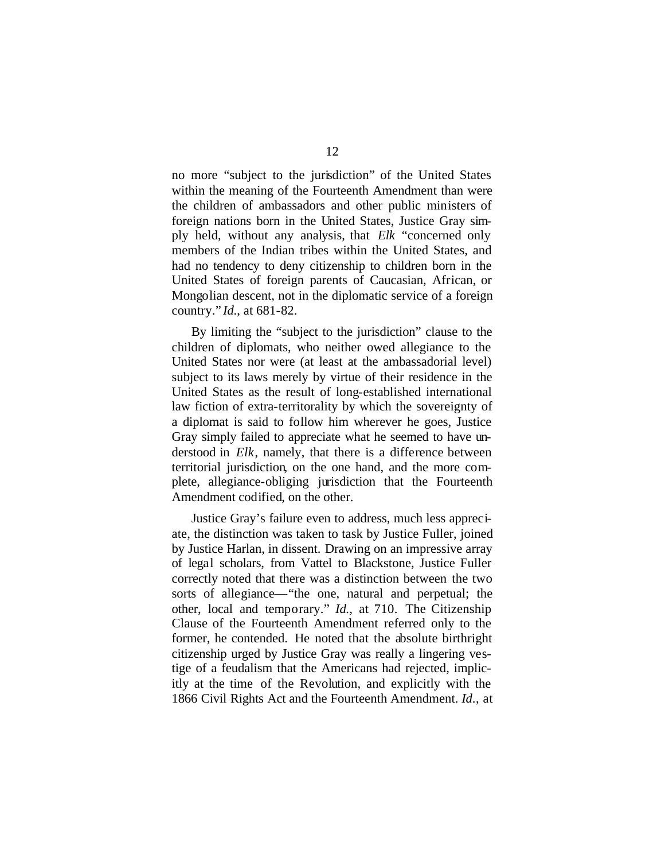no more "subject to the jurisdiction" of the United States within the meaning of the Fourteenth Amendment than were the children of ambassadors and other public ministers of foreign nations born in the United States, Justice Gray simply held, without any analysis, that *Elk* "concerned only members of the Indian tribes within the United States, and had no tendency to deny citizenship to children born in the United States of foreign parents of Caucasian, African, or Mongolian descent, not in the diplomatic service of a foreign country." *Id*., at 681-82.

By limiting the "subject to the jurisdiction" clause to the children of diplomats, who neither owed allegiance to the United States nor were (at least at the ambassadorial level) subject to its laws merely by virtue of their residence in the United States as the result of long-established international law fiction of extra-territorality by which the sovereignty of a diplomat is said to follow him wherever he goes, Justice Gray simply failed to appreciate what he seemed to have understood in *Elk*, namely, that there is a difference between territorial jurisdiction, on the one hand, and the more complete, allegiance-obliging jurisdiction that the Fourteenth Amendment codified, on the other.

Justice Gray's failure even to address, much less appreciate, the distinction was taken to task by Justice Fuller, joined by Justice Harlan, in dissent. Drawing on an impressive array of legal scholars, from Vattel to Blackstone, Justice Fuller correctly noted that there was a distinction between the two sorts of allegiance—"the one, natural and perpetual; the other, local and temporary." *Id.*, at 710. The Citizenship Clause of the Fourteenth Amendment referred only to the former, he contended. He noted that the absolute birthright citizenship urged by Justice Gray was really a lingering vestige of a feudalism that the Americans had rejected, implicitly at the time of the Revolution, and explicitly with the 1866 Civil Rights Act and the Fourteenth Amendment. *Id*., at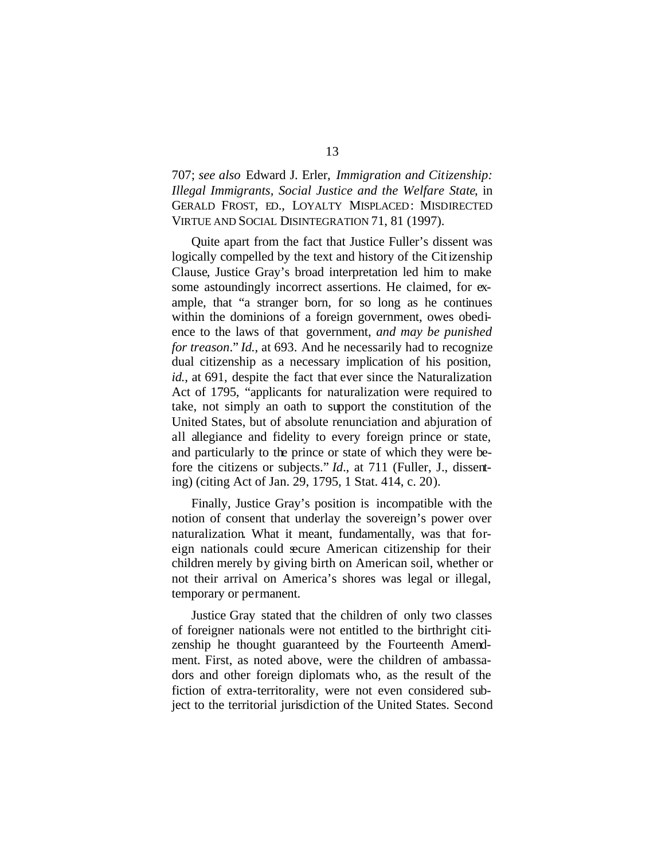707; *see also* Edward J. Erler, *Immigration and Citizenship: Illegal Immigrants, Social Justice and the Welfare State*, in GERALD FROST, ED., LOYALTY MISPLACED: MISDIRECTED VIRTUE AND SOCIAL DISINTEGRATION 71, 81 (1997).

Quite apart from the fact that Justice Fuller's dissent was logically compelled by the text and history of the Citizenship Clause, Justice Gray's broad interpretation led him to make some astoundingly incorrect assertions. He claimed, for example, that "a stranger born, for so long as he continues within the dominions of a foreign government, owes obedience to the laws of that government, *and may be punished for treason*." *Id.*, at 693. And he necessarily had to recognize dual citizenship as a necessary implication of his position, *id.*, at 691, despite the fact that ever since the Naturalization Act of 1795, "applicants for naturalization were required to take, not simply an oath to support the constitution of the United States, but of absolute renunciation and abjuration of all allegiance and fidelity to every foreign prince or state, and particularly to the prince or state of which they were before the citizens or subjects." *Id*., at 711 (Fuller, J., dissenting) (citing Act of Jan. 29, 1795, 1 Stat. 414, c. 20).

Finally, Justice Gray's position is incompatible with the notion of consent that underlay the sovereign's power over naturalization. What it meant, fundamentally, was that foreign nationals could secure American citizenship for their children merely by giving birth on American soil, whether or not their arrival on America's shores was legal or illegal, temporary or permanent.

Justice Gray stated that the children of only two classes of foreigner nationals were not entitled to the birthright citizenship he thought guaranteed by the Fourteenth Amendment. First, as noted above, were the children of ambassadors and other foreign diplomats who, as the result of the fiction of extra-territorality, were not even considered subject to the territorial jurisdiction of the United States. Second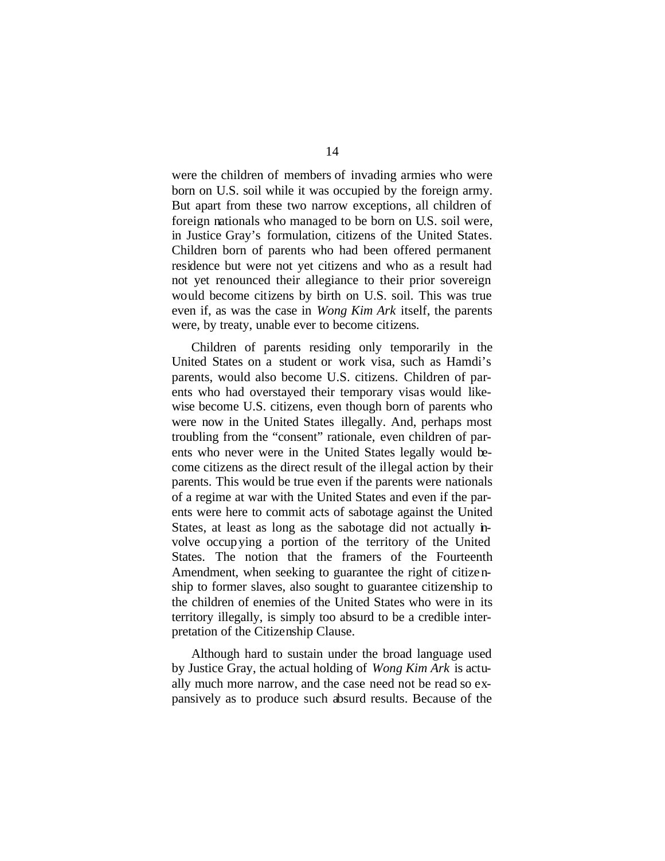were the children of members of invading armies who were born on U.S. soil while it was occupied by the foreign army. But apart from these two narrow exceptions, all children of foreign nationals who managed to be born on U.S. soil were, in Justice Gray's formulation, citizens of the United States. Children born of parents who had been offered permanent residence but were not yet citizens and who as a result had not yet renounced their allegiance to their prior sovereign would become citizens by birth on U.S. soil. This was true even if, as was the case in *Wong Kim Ark* itself, the parents were, by treaty, unable ever to become citizens.

Children of parents residing only temporarily in the United States on a student or work visa, such as Hamdi's parents, would also become U.S. citizens. Children of parents who had overstayed their temporary visas would likewise become U.S. citizens, even though born of parents who were now in the United States illegally. And, perhaps most troubling from the "consent" rationale, even children of parents who never were in the United States legally would become citizens as the direct result of the illegal action by their parents. This would be true even if the parents were nationals of a regime at war with the United States and even if the parents were here to commit acts of sabotage against the United States, at least as long as the sabotage did not actually involve occupying a portion of the territory of the United States. The notion that the framers of the Fourteenth Amendment, when seeking to guarantee the right of citizenship to former slaves, also sought to guarantee citizenship to the children of enemies of the United States who were in its territory illegally, is simply too absurd to be a credible interpretation of the Citizenship Clause.

Although hard to sustain under the broad language used by Justice Gray, the actual holding of *Wong Kim Ark* is actually much more narrow, and the case need not be read so expansively as to produce such absurd results. Because of the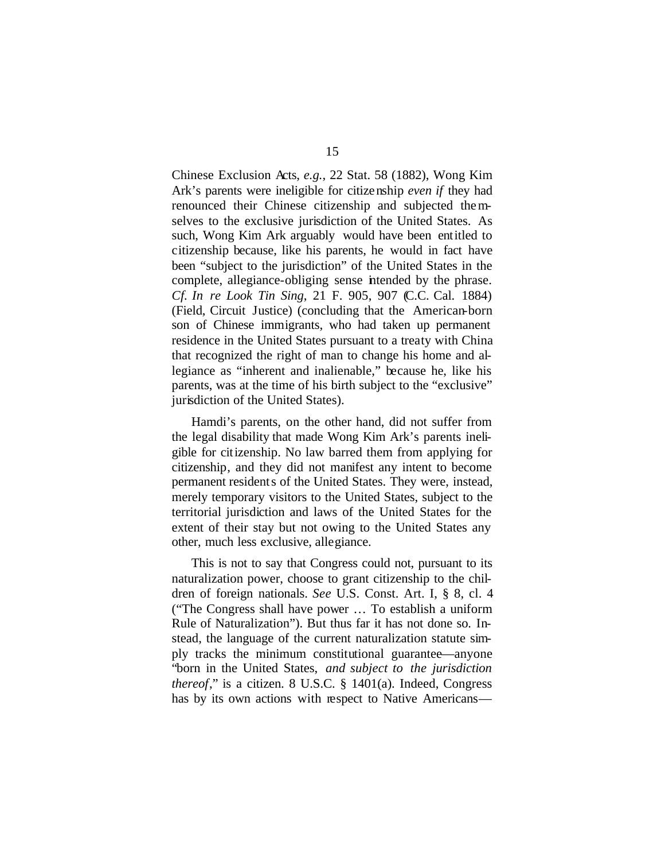Chinese Exclusion Acts, *e.g.*, 22 Stat. 58 (1882), Wong Kim Ark's parents were ineligible for citizenship *even if* they had renounced their Chinese citizenship and subjected themselves to the exclusive jurisdiction of the United States. As such, Wong Kim Ark arguably would have been entitled to citizenship because, like his parents, he would in fact have been "subject to the jurisdiction" of the United States in the complete, allegiance-obliging sense intended by the phrase. *Cf. In re Look Tin Sing*, 21 F. 905, 907 (C.C. Cal. 1884) (Field, Circuit Justice) (concluding that the American-born son of Chinese immigrants, who had taken up permanent residence in the United States pursuant to a treaty with China that recognized the right of man to change his home and allegiance as "inherent and inalienable," because he, like his parents, was at the time of his birth subject to the "exclusive" jurisdiction of the United States).

Hamdi's parents, on the other hand, did not suffer from the legal disability that made Wong Kim Ark's parents ineligible for citizenship. No law barred them from applying for citizenship, and they did not manifest any intent to become permanent residents of the United States. They were, instead, merely temporary visitors to the United States, subject to the territorial jurisdiction and laws of the United States for the extent of their stay but not owing to the United States any other, much less exclusive, allegiance.

This is not to say that Congress could not, pursuant to its naturalization power, choose to grant citizenship to the children of foreign nationals. *See* U.S. Const. Art. I, § 8, cl. 4 ("The Congress shall have power … To establish a uniform Rule of Naturalization"). But thus far it has not done so. Instead, the language of the current naturalization statute simply tracks the minimum constitutional guarantee—anyone "born in the United States, *and subject to the jurisdiction thereof*," is a citizen. 8 U.S.C. § 1401(a). Indeed, Congress has by its own actions with respect to Native Americans—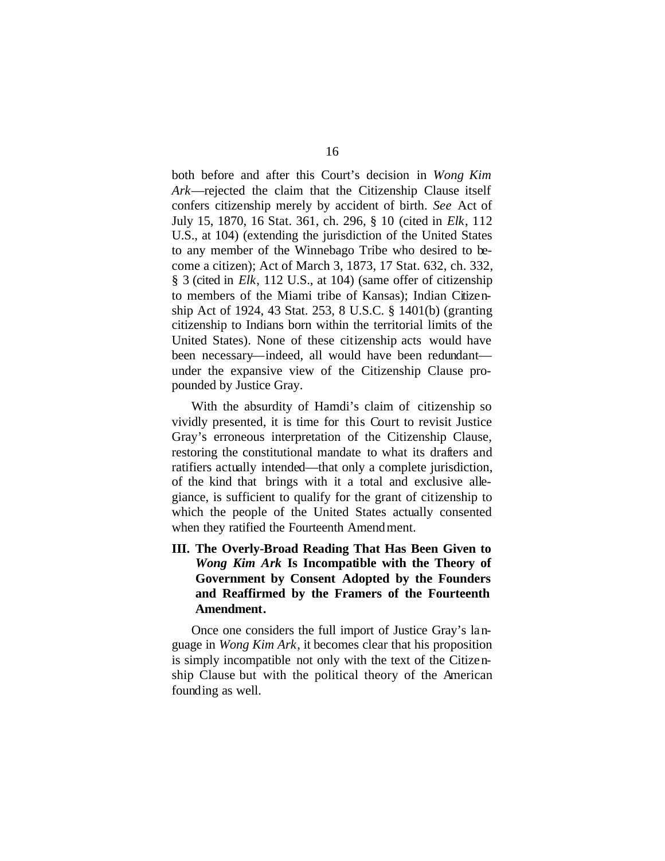both before and after this Court's decision in *Wong Kim Ark*—rejected the claim that the Citizenship Clause itself confers citizenship merely by accident of birth. *See* Act of July 15, 1870, 16 Stat. 361, ch. 296, § 10 (cited in *Elk*, 112 U.S., at 104) (extending the jurisdiction of the United States to any member of the Winnebago Tribe who desired to become a citizen); Act of March 3, 1873, 17 Stat. 632, ch. 332, § 3 (cited in *Elk*, 112 U.S., at 104) (same offer of citizenship to members of the Miami tribe of Kansas); Indian Citizenship Act of 1924, 43 Stat. 253, 8 U.S.C. § 1401(b) (granting citizenship to Indians born within the territorial limits of the United States). None of these citizenship acts would have been necessary—indeed, all would have been redundant under the expansive view of the Citizenship Clause propounded by Justice Gray.

With the absurdity of Hamdi's claim of citizenship so vividly presented, it is time for this Court to revisit Justice Gray's erroneous interpretation of the Citizenship Clause, restoring the constitutional mandate to what its drafters and ratifiers actually intended—that only a complete jurisdiction, of the kind that brings with it a total and exclusive allegiance, is sufficient to qualify for the grant of citizenship to which the people of the United States actually consented when they ratified the Fourteenth Amendment.

**III. The Overly-Broad Reading That Has Been Given to**  *Wong Kim Ark* **Is Incompatible with the Theory of Government by Consent Adopted by the Founders and Reaffirmed by the Framers of the Fourteenth Amendment.**

Once one considers the full import of Justice Gray's language in *Wong Kim Ark*, it becomes clear that his proposition is simply incompatible not only with the text of the Citizenship Clause but with the political theory of the American founding as well.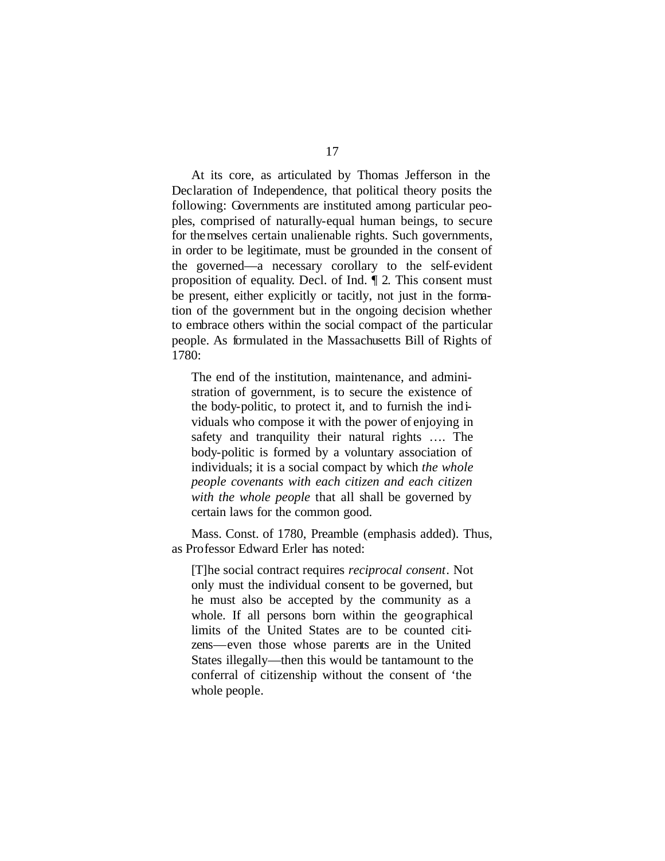At its core, as articulated by Thomas Jefferson in the Declaration of Independence, that political theory posits the following: Governments are instituted among particular peoples, comprised of naturally-equal human beings, to secure for themselves certain unalienable rights. Such governments, in order to be legitimate, must be grounded in the consent of the governed—a necessary corollary to the self-evident proposition of equality. Decl. of Ind. ¶ 2. This consent must be present, either explicitly or tacitly, not just in the formation of the government but in the ongoing decision whether to embrace others within the social compact of the particular people. As formulated in the Massachusetts Bill of Rights of 1780:

The end of the institution, maintenance, and administration of government, is to secure the existence of the body-politic, to protect it, and to furnish the individuals who compose it with the power of enjoying in safety and tranquility their natural rights …. The body-politic is formed by a voluntary association of individuals; it is a social compact by which *the whole people covenants with each citizen and each citizen with the whole people* that all shall be governed by certain laws for the common good.

Mass. Const. of 1780, Preamble (emphasis added). Thus, as Professor Edward Erler has noted:

[T]he social contract requires *reciprocal consent*. Not only must the individual consent to be governed, but he must also be accepted by the community as a whole. If all persons born within the geographical limits of the United States are to be counted citizens—even those whose parents are in the United States illegally—then this would be tantamount to the conferral of citizenship without the consent of 'the whole people.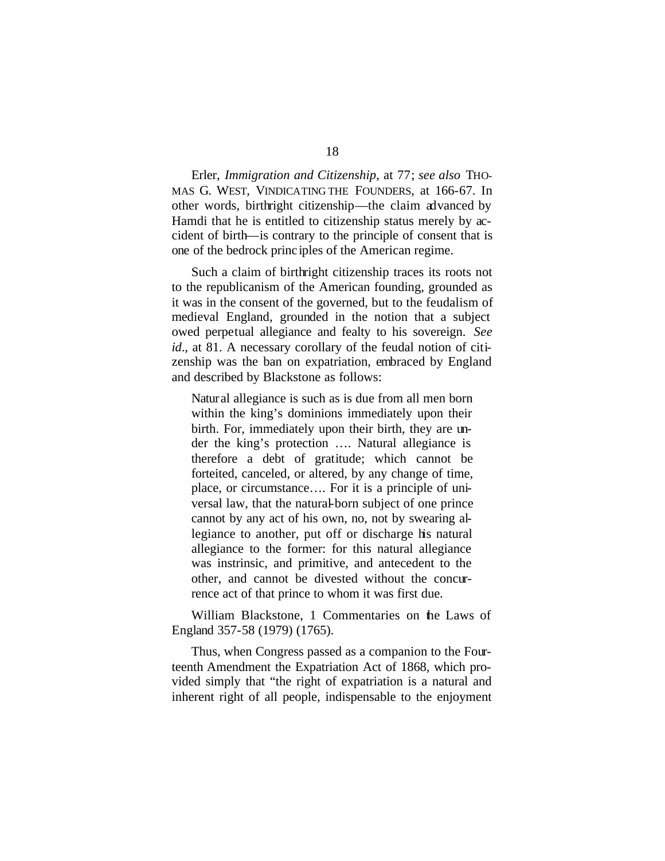Erler, *Immigration and Citizenship*, at 77; *see also* THO-MAS G. WEST, VINDICATING THE FOUNDERS, at 166-67. In other words, birthright citizenship—the claim advanced by Hamdi that he is entitled to citizenship status merely by accident of birth—is contrary to the principle of consent that is one of the bedrock princ iples of the American regime.

Such a claim of birthright citizenship traces its roots not to the republicanism of the American founding, grounded as it was in the consent of the governed, but to the feudalism of medieval England, grounded in the notion that a subject owed perpetual allegiance and fealty to his sovereign. *See id.*, at 81. A necessary corollary of the feudal notion of citizenship was the ban on expatriation, embraced by England and described by Blackstone as follows:

Natural allegiance is such as is due from all men born within the king's dominions immediately upon their birth. For, immediately upon their birth, they are under the king's protection …. Natural allegiance is therefore a debt of gratitude; which cannot be forteited, canceled, or altered, by any change of time, place, or circumstance…. For it is a principle of universal law, that the natural-born subject of one prince cannot by any act of his own, no, not by swearing allegiance to another, put off or discharge his natural allegiance to the former: for this natural allegiance was instrinsic, and primitive, and antecedent to the other, and cannot be divested without the concurrence act of that prince to whom it was first due.

William Blackstone, 1 Commentaries on the Laws of England 357-58 (1979) (1765).

Thus, when Congress passed as a companion to the Fourteenth Amendment the Expatriation Act of 1868, which provided simply that "the right of expatriation is a natural and inherent right of all people, indispensable to the enjoyment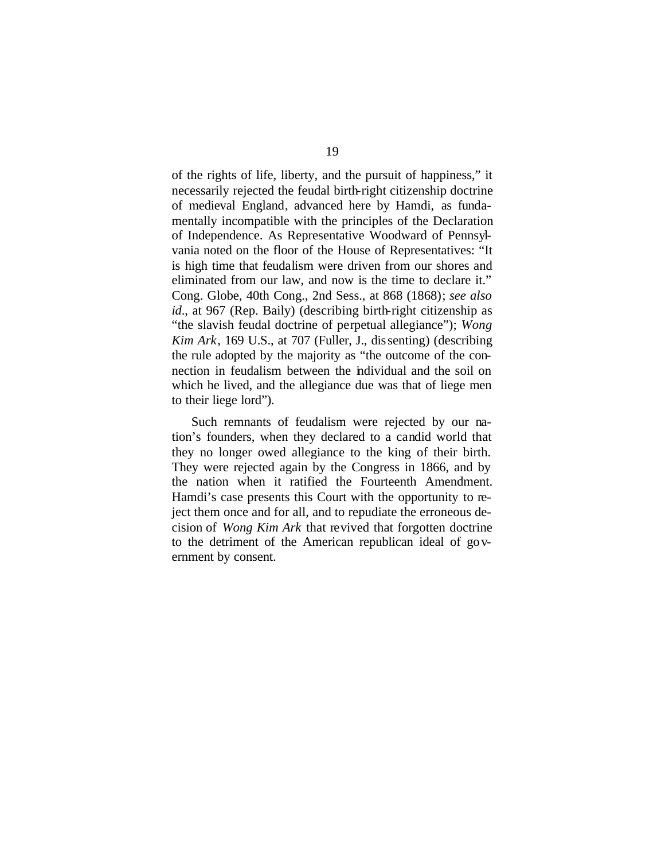of the rights of life, liberty, and the pursuit of happiness," it necessarily rejected the feudal birth-right citizenship doctrine of medieval England, advanced here by Hamdi, as fundamentally incompatible with the principles of the Declaration of Independence. As Representative Woodward of Pennsylvania noted on the floor of the House of Representatives: "It is high time that feudalism were driven from our shores and eliminated from our law, and now is the time to declare it." Cong. Globe, 40th Cong., 2nd Sess., at 868 (1868); *see also id*., at 967 (Rep. Baily) (describing birth-right citizenship as "the slavish feudal doctrine of perpetual allegiance"); *Wong Kim Ark*, 169 U.S., at 707 (Fuller, J., dissenting) (describing the rule adopted by the majority as "the outcome of the connection in feudalism between the individual and the soil on which he lived, and the allegiance due was that of liege men to their liege lord").

Such remnants of feudalism were rejected by our nation's founders, when they declared to a candid world that they no longer owed allegiance to the king of their birth. They were rejected again by the Congress in 1866, and by the nation when it ratified the Fourteenth Amendment. Hamdi's case presents this Court with the opportunity to reject them once and for all, and to repudiate the erroneous decision of *Wong Kim Ark* that revived that forgotten doctrine to the detriment of the American republican ideal of government by consent.